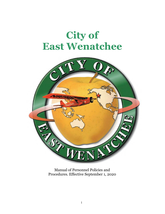# **City of East Wenatchee**



Manual of Personnel Policies and Procedures. Effective September 1, 2020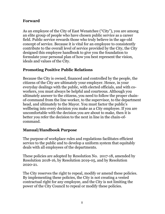## **Forward**

As an employee of the City of East Wenatchee ("City"), you are among an elite group of people who have chosen public service as a career field. Public service rewards those who truly believe in the age-old concept of service. Because it is vital for an employee to consistently contribute to the overall level of service provided by the City, the City designed this employee handbook to give you the foundation to formulate your personal plan of how you best represent the vision, ideals and values of the City.

# **Promoting Positive Public Relations**

Because the City is owned, financed and controlled by the people, the citizens of the City are ultimately your employer. Hence, in your everyday dealings with the public, with elected officials, and with coworkers, you must always be helpful and courteous. Although you ultimately answer to the citizens, you need to follow the proper chainof-command from the line worker, to the supervisor, to the department head, and ultimately to the Mayor. You must factor the public's wellbeing into every decision you make as a City employee. If you are uncomfortable with the decision you are about to make, then it is better you refer the decision to the next in line in the chain-ofcommand.

# **Manual/Handbook Purpose**

The purpose of workplace rules and regulations facilitates efficient service to the public and to develop a uniform system that equitably deals with all employees of the departments.

These policies are adopted by Resolution No. 2017-18, amended by Resolution 2018-16, by Resolution 2019-05, and by Resolution 2020-21.

The City reserves the right to repeal, modify or amend these policies. By implementing these policies, the City is not creating a vested contractual right for any employee, and the City is not limiting the power of the City Council to repeal or modify these policies.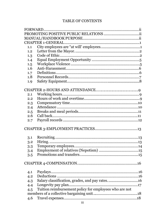#### TABLE OF CONTENTS

| 1.1 |                                                        |  |
|-----|--------------------------------------------------------|--|
| 1.2 |                                                        |  |
| 1.3 |                                                        |  |
| 1.4 |                                                        |  |
| 1.5 |                                                        |  |
| 1.6 |                                                        |  |
| 1.7 |                                                        |  |
| 1.8 |                                                        |  |
| 1.9 |                                                        |  |
|     |                                                        |  |
| 2.1 |                                                        |  |
| 2.2 |                                                        |  |
| 2.3 |                                                        |  |
| 2.4 |                                                        |  |
| 2.5 |                                                        |  |
| 2.6 |                                                        |  |
| 2.7 |                                                        |  |
|     |                                                        |  |
|     |                                                        |  |
| 3.1 |                                                        |  |
| 3.2 |                                                        |  |
| 3.3 |                                                        |  |
| 3.4 |                                                        |  |
| 3.5 |                                                        |  |
|     |                                                        |  |
| 4.1 |                                                        |  |
| 4.2 |                                                        |  |
| 4.3 |                                                        |  |
| 4.4 | Longevity pay plan                                     |  |
| 4.5 | Tuition reimbursement policy for employees who are not |  |
|     |                                                        |  |
| 4.6 |                                                        |  |
|     |                                                        |  |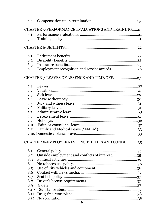| 4.7                                               |                                                  |  |  |  |
|---------------------------------------------------|--------------------------------------------------|--|--|--|
| CHAPTER 5-PERFORMANCE EVALUATIONS AND TRAINING21  |                                                  |  |  |  |
| 5.1                                               |                                                  |  |  |  |
| 5.2                                               |                                                  |  |  |  |
|                                                   |                                                  |  |  |  |
|                                                   |                                                  |  |  |  |
| 6.1                                               |                                                  |  |  |  |
| 6.2                                               |                                                  |  |  |  |
| 6.3                                               |                                                  |  |  |  |
| 6.4                                               |                                                  |  |  |  |
| CHAPTER 7-LEAVES OF ABSENCE AND TIME OFF. 27      |                                                  |  |  |  |
| 7.1                                               |                                                  |  |  |  |
| 7.2                                               |                                                  |  |  |  |
| 7.3                                               |                                                  |  |  |  |
| 7.4                                               |                                                  |  |  |  |
| 7.5                                               |                                                  |  |  |  |
| 7.6                                               |                                                  |  |  |  |
| 7.7                                               |                                                  |  |  |  |
| 7.8                                               |                                                  |  |  |  |
| 7.9                                               |                                                  |  |  |  |
| 7.10                                              |                                                  |  |  |  |
| 7.11                                              |                                                  |  |  |  |
|                                                   |                                                  |  |  |  |
| CHAPTER 8-EMPLOYEE RESPONSIBILITIES AND CONDUCT35 |                                                  |  |  |  |
| 8.1                                               |                                                  |  |  |  |
| 8.2                                               | Outside employment and conflicts of interest. 35 |  |  |  |
| 8.3                                               |                                                  |  |  |  |
| 8.4                                               |                                                  |  |  |  |
| 8.5                                               |                                                  |  |  |  |
| 8.6                                               |                                                  |  |  |  |
| 8.7                                               |                                                  |  |  |  |
| 8.8                                               |                                                  |  |  |  |
| 8.9                                               |                                                  |  |  |  |
| 8.10                                              |                                                  |  |  |  |
| 8.11                                              |                                                  |  |  |  |
| 8.12                                              |                                                  |  |  |  |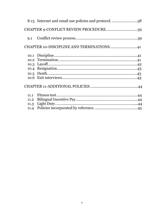|                                          | 8.13 Internet and email use policies and protocol. 38 |  |  |  |
|------------------------------------------|-------------------------------------------------------|--|--|--|
|                                          | CHAPTER 9-CONFLICT REVIEW PROCEDURE39                 |  |  |  |
|                                          |                                                       |  |  |  |
| CHAPTER 10-DISCIPLINE AND TERMINATIONS41 |                                                       |  |  |  |
|                                          |                                                       |  |  |  |
|                                          |                                                       |  |  |  |
|                                          |                                                       |  |  |  |
|                                          |                                                       |  |  |  |
|                                          |                                                       |  |  |  |
|                                          |                                                       |  |  |  |
|                                          |                                                       |  |  |  |
| 11.1                                     |                                                       |  |  |  |
| 11.2                                     |                                                       |  |  |  |
| 11.3                                     |                                                       |  |  |  |
| 11.4                                     |                                                       |  |  |  |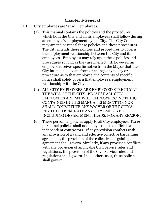### **Chapter 1-General**

- 1.1 City employees are "at will' employees.
	- (a) This manual contains the policies and the procedures, which both the City and all its employees shall follow during an employee's employment by the City. The City Council may amend or repeal these policies and these procedures. The City intends these policies and procedures to govern the employment relationship between the City and its employees. Employees may rely upon these policies and procedures so long as they are in effect. If, however, an employee receives specific notice from the Mayor that the City intends to deviate from or change any policy or procedure as to that employee, the contents of specific notice shall solely govern that employee's employment relationship with the City.
	- (b) ALL CITY EMPLOYEES ARE EMPLOYED STRICTLY AT THE WILL OF THE CITY. BECAUSE ALL CITY EMPLOYEES ARE "AT WILL EMPLOYEES." NOTHING CONTAINED IN THIS MANUAL IS MEANT TO, NOR SHALL, CONSTITUTE ANY WAIVER OF THE CITY'S RIGHT TO TERMINATE ANY CITY EMPLOYEE, INCLUDING DEPARTMENT HEADS, FOR ANY REASON.
	- (c) These personnel policies apply to all City employees. These personnel policies shall not apply to elected officials and independent contractors. If any provision conflicts with any provision of a valid and effective collective bargaining agreement, the provision of the collective bargaining agreement shall govern. Similarly, if any provision conflicts with any provision of applicable Civil Service rules and regulations, the provision of the Civil Service rules and regulations shall govern. In all other cases, these policies shall govern.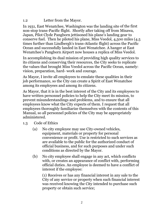#### 1.2 Letter from the Mayor.

In 1931, East Wenatchee, Washington was the landing site of the first non-stop trans-Pacific flight. Shortly after taking off from Misawa, Japan, Pilot Clyde Pangborn jettisoned his plane's landing gear to conserve fuel. Then he piloted his plane, Miss Veedol, 4,500 miles (4.5 times further than Lindbergh's trans-Atlantic flight) across the Pacific Ocean and successfully landed in East Wenatchee. A hanger at East Wenatchee's Pangborn Airport now houses a replica of Miss Veedol.

In accomplishing its dual mission of providing high quality services to its citizens and conserving their resources, the City seeks to replicate the values that brought Miss Veedol across the Pacific Ocean, namely: vision, preparation, hard- work and courage.

As Mayor, I invite all employees to emulate these qualities in their job performance, so the City can create a Spirit of East Wenatchee among its employees and among its citizens.

As Mayor, that it is in the best interest of the City and its employees to have written personnel policies to help the City meet its mission, to prevent misunderstandings and problems, and to ensure that all employees know what the City expects of them. I request that all employees thoroughly familiarize themselves with the contents of this Manual, so all personnel policies of the City may be appropriately administered.

- 1.3 Code of Ethics
	- (a) No city employee may use City-owned vehicles, equipment, materials or property for personal convenience or profit. Use is restricted to such services as are available to the public for the authorized conduct of official business, and for such purposes and under such conditions as directed by the Mayor.
	- (b) No city employee shall engage in any act, which conflicts with, or creates an appearance of conflict with, performing official duties. An employee is deemed to have a conflict of interest if the employee:

(1) Receives or has any financial interest in any sale to the City of any service or property when such financial interest was received knowing the City intended to purchase such property or obtain such service;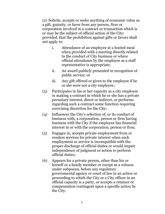(2) Solicits, accepts or seeks anything of economic value as a gift, gratuity, or favor from any person, firm or corporation involved in a contract or transaction which is or may be the subject of official action of the City; provided, that the prohibition against gifts or favors shall not apply to:

- i. Attendance of an employee at a hosted meal when provided with a meeting directly related to the conduct of City business or where official attendance by the employee as a staff representative is appropriate;
- ii. An award publicly presented in recognition of public service; or
- iii. Any gift offered or given to the employee if he or she were not a city employee;
- (3) Participates in his or her capacity as a city employee in making a contract in which he or she has a private pecuniary interest, direct or indirect, or performs regarding such a contract some function requiring exercising discretion for the City;
- (4) Influences the City's selection of, or its conduct of business with, a corporation, person or firm having business with the City if the employee has financial interest in or with the corporation, person or firm;
- (5) Engages in, accepts private employment from or renders services for private interest when such employment or service is incompatible with the proper discharge of official duties or would impair independence of judgment or action to perform official duties;
- (6) Appears for a private person, other than his or herself or a family member or except as a witness under subpoena, before any regulatory governmental agency or court of law in an action or proceeding to which the City or a City officer in an official capacity is a party, or accepts a retainer or compensation contingent upon a specific action by the City;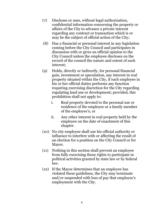- (7) Discloses or uses, without legal authorization, confidential information concerning the property or affairs of the City to advance a private interest regarding any contract or transaction which is or may be the subject of official action of the City;
- (8) Has a financial or personal interest in any legislation coming before the City Council and participates in discussion with or gives an official opinion to the City Council unless the employee discloses on the record of the council the nature and extent of such interest;
- (9) Holds, directly or indirectly, for personal financial gain, investment or speculation, any interest in real property situated within the City, if such employee in his or her official duties performs any function requiring exercising discretion for the City regarding regulating land use or development; provided, this prohibition shall not apply to:
	- i. Real property devoted to the personal use or residence of the employee or a family member of the employee's; or
	- ii. Any other interest in real property held by the employee on the date of enactment of this chapter.
- (10) No city employee shall use his official authority or influence to interfere with or affecting the result of an election for a position on the City Council or for Mayor.
- (11) Nothing in this section shall prevent an employee from fully exercising those rights to participate in political activities granted by state law or by federal law.
- (12) If the Mayor determines that an employee has violated these guidelines, the City may terminate and/or suspended with loss of pay that employee's employment with the City.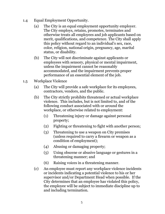- 1.4 Equal Employment Opportunity.
	- (a) The City is an equal employment opportunity employer. The City employs, retains, promotes, terminates and otherwise treats all employees and job applicants based on merit, qualifications, and competence. The City shall apply this policy without regard to an individual's sex, race, color, religion, national origin, pregnancy, age, marital status, or disability.
	- (b) The City will not discriminate against applicants or employees with sensory, physical or mental impairment, unless the impairment cannot be reasonably accommodated, and the impairment prevents proper performance of an essential element of the job.
- 1.5 Workplace Violence
	- (a) The City will provide a safe workplace for its employees, contractors, vendors, and the public.
	- (b) The City strictly prohibits threatened or actual workplace violence. This includes, but is not limited to, and of the following conduct associated with or around the workplace, or otherwise related to employment:
		- (1) Threatening injury or damage against personal property;
		- (2) Fighting or threatening to fight with another person;
		- (3) Threatening to use a weapon on City premises (unless required to carry a firearm or weapon as a condition of employment);
		- (4) Abusing or damaging property;
		- (5) Using obscene or abusive language or gestures in a threatening manner; and
		- (6) Raising voices in a threatening manner.
	- (c) An employee must report any workplace violence incidents or incidents indicating a potential violence to his or her supervisor and/or Department Head when possible. If the City determines that an employee has violated this policy, the employee will be subject to immediate discipline up to and including termination.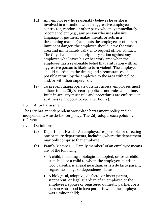- (d) Any employee who reasonably believes he or she is involved in a situation with an aggressive employee, contractor, vendor, or other party who may immediately become violent (e.g., any person who uses abusive language or gestures, makes threats or acts in a threatening manner) and puts the employee or others in imminent danger, the employee should leave the work area and immediately call 911 to request officer contact. The City shall take no disciplinary action against any employee who leaves his or her work area when the employee has a reasonable belief that a situation with an aggressive person is likely to turn violent. The employee should coordinate the timing and circumstances of possible return by the employee to the area with police and/or with their supervisor.
- (e) To prevent inappropriate outsider access, employees must adhere to the City's security policies and rules at all time. Built-in security must rule and procedures are enforced at all-times (e.g. doors locked after hours).
- 1.6 Anti-Harassment.

The City has an independent workplace harassment policy and an independent, whistle-blower policy. The City adopts each policy by reference.

- 1.7 Definitions
	- (a) Department Head An employee responsible for directing one or more departments, including where the department may only comprise that employee.
	- (b) Family Member "Family member" of an employee means any of the following:
		- A child, including a biological, adopted, or foster child, stepchild, or a child to whom the employee stands in loco parentis, is a legal guardian, or is a de facto parent, regardless of age or dependency status;
		- A biological, adoptive, de facto, or foster parent, stepparent, or legal guardian of an employee or the employee's spouse or registered domestic partner, or a person who stood in loco parentis when the employee was a minor child;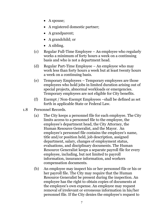- A spouse;
- A registered domestic partner;
- A grandparent;
- A grandchild; or
- A sibling.
- (c) Regular Full-Time Employee An employee who regularly works a minimum of forty hours a week on a continuing basis and who is not a department head.
- (d) Regular Part-Time Employee An employee who may work less than forty hours a week but at least twenty hours a week on a continuing basis.
- (e) Temporary Employees Temporary employees are those employees who hold jobs in limited duration arising out of special projects, abnormal workloads or emergencies. Temporary employees are not eligible for City benefits.
- (f) Exempt / Non-Exempt Employees –shall be defined as set forth in applicable State or Federal Law.
- 1.8 Personnel Records.
	- (a) The City keeps a personnel file for each employee. The City limits access to a personnel file to the employee, the employee's department head, the City Attorney, the Human Resource Generalist, and the Mayor. An employee's personnel file contains the employee's name, title and/or position held, job description, assigned department, salary, changes of employment status, evaluations, and disciplinary documents. The Human Resource Generalist keeps a separate payroll file for every employee, including, but not limited to payroll information, insurance information, and workers compensation documents.
	- (b) An employee may inspect his or her personnel file or his or her payroll file. The City may require that the Human Resource Generalist be present during the inspection. An employee has the right to obtain copies of documents at the employee's own expense. An employee may request removal of irrelevant or erroneous information in his/her personnel file. If the City denies the employee's request to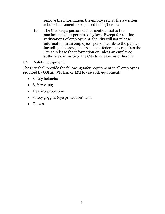remove the information, the employee may file a written rebuttal statement to be placed in his/her file.

- (c) The City keeps personnel files confidential to the maximum extent permitted by law. Except for routine verifications of employment, the City will not release information in an employee's personnel file to the public, including the press, unless state or federal law requires the City to release the information or unless an employee authorizes, in writing, the City to release his or her file.
- 1.9 Safety Equipment.

The City shall provide the following safety equipment to all employees required by OSHA, WISHA, or L&I to use such equipment:

- Safety helmets;
- Safety vests;
- Hearing protection
- Safety goggles (eye protection); and
- Gloves.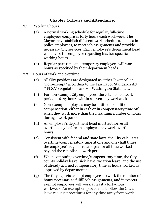### **Chapter 2-Hours and Attendance.**

- 2.1 Working hours.
	- (a) A normal working schedule for regular, full-time employees comprises forty hours each workweek. The Mayor may establish different work schedules, such as in police employees, to meet job assignments and provide necessary City services. Each employee's department head will advise the employee regarding his/her specific working hours.
	- (b) Regular part-time and temporary employees will work hours as specified by their department heads.
- 2.2 Hours of work and overtime.
	- (a) All City positions are designated as either "exempt" or "non-exempt" according to the Fair Labor Standards Act ("FLSA") regulations and/or Washington State Law.
	- (b) For non-exempt City employees, the established work period is forty hours within a seven-day workweek.
	- (c) Non-exempt employees may be entitled to additional compensation, either in cash or in compensatory time off, when they work more than the maximum number of hours during a work period.
	- (d) An employee's department head must authorize all overtime pay before an employee may work overtime hours.
	- (e) Consistent with federal and state laws, the City calculates overtime/compensatory time at one and one- half times the employee's regular rate of pay for all time worked beyond the established work period.
	- (f) When computing overtime/compensatory time, the City counts holiday leave, sick leave, vacation leave, and the use of already accrued compensatory time as hours worked as approved by department head.
	- (g) The City expects exempt employees to work the number of hours necessary to fulfill job assignments, and it expects exempt employees will work at least a forty-hour workweek. An exempt employee must follow the City's leave request procedures for any time away from work.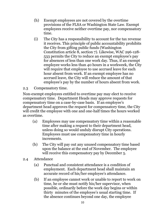- (h) Exempt employees are not covered by the overtime provisions of the FLSA or Washington State Law. Exempt employees receive neither overtime pay, nor compensatory time.
- (i) The City has a responsibility to account for the tax revenue it receives. This principle of public accountability prohibits the City from gifting public funds (Washington Constitution [article 8, section 7\)](http://leg.wa.gov/LawsAndAgencyRules/Documents/12-2012-WAStateConstitution.pdf#page=36). Likewise, [WAC 296-128-](http://app.leg.wa.gov/WAC/default.aspx?cite=296-128-533) [533](http://app.leg.wa.gov/WAC/default.aspx?cite=296-128-533) permits the City to reduce an exempt employee's pay for absences of less than one work day. Thus, if an exempt employee works less than 40 hours in a workweek, the City will require that employee to use accrued leave for each hour absent from work. If an exempt employee has no accrued leave, the City will reduce the amount of that employee's pay by the number of hours absent from work.

### 2.3 Compensatory time.

Non-exempt employees entitled to overtime pay may elect to receive compensatory time. Department Heads may approve requests for compensatory time on a case-by-case basis. If an employee's department head approves the request for compensatory time, the City will credit the employee with one and one-half times the hours worked as overtime.

- (a) Employees may use compensatory time within a reasonable time after making a request to their department head, unless doing so would unduly disrupt City operations. Employees must use compensatory time in hourly increments.
- (b) The City will pay out any unused compensatory time based upon the balance at the end of November. The employee will receive this compensatory pay by December 5.
- 2.4 Attendance
	- (a) Punctual and consistent attendance is a condition of employment. Each department head shall maintain an accurate record of his/her employee's attendance.
	- (b) If an employee cannot work or unable to report to work on time, he or she must notify his/her supervisor, when possible, ordinarily before the work day begins or within thirty minutes of the employee's usual starting time. If the absence continues beyond one day, the employee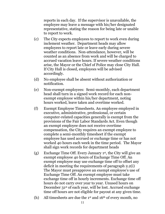reports in each day. If the supervisor is unavailable, the employee may leave a message with his/her designated representative, stating the reason for being late or unable to report to work.

- (c) The City expects employees to report to work even during inclement weather. Department heads may allow employees to report late or leave early during severe weather conditions. Non-attendance, however, will be counted as an absence from work and will be charged to accrued vacation leave hours. If severe weather conditions arise, the Mayor or the Chief of Police may close City Hall. If City Hall is closed, employees will be advised accordingly.
- (d) No employee shall be absent without authorization or notification.
- (e) Non-exempt employees: Semi-monthly, each department head shall turn in a signed work record for each nonexempt employee within his/her department, noting hours worked, leave taken and overtime worked.
- (f) Exempt Employee Timesheets. An employee employed in executive, administrative, professional, or certain computer-related capacities generally is exempt from the provisions of the Fair Labor Standards Act. Even though an exempt employee does not receive overtime compensation, the City requires an exempt employee to complete a semi-monthly timesheet if the exempt employee has used accrued or exchange time or has not worked 40 hours each week in the time period. The Mayor shall sign work records for department heads
- (g) Exchange Time Off. Every January 1<sup>st</sup>, the City will give an exempt employee 40 hours of Exchange Time Off. An exempt employee may use exchange time off to offset any deficit in meeting the requirements of paragraph 2.2(i) The Mayor must preapprove an exempt employee's use of Exchange Time Off. An exempt employee must take exchange time off in hourly increments. Exchange time off hours do not carry over year to year. Unused hours on December 31st of each year, will be lost. Accrued exchange time off hours are not eligible for payout at any given time.
- (h) All timesheets are due the 1st and 16th of every month, no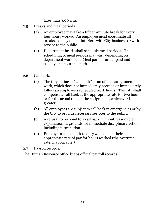later than 9:00 a.m.

- 2.5 Breaks and meal periods.
	- (a) An employee may take a fifteen-minute break for every four hours worked. An employee must coordinate all breaks, so they do not interfere with City business or with service to the public.
	- (b) Department heads shall schedule meal periods. The scheduling of meal periods may vary depending on department workload. Meal periods are unpaid and usually one hour in length.
- 2.6 Call back.
	- (a) The City defines a "call back" as an official assignment of work, which does not immediately precede or immediately follow an employee's scheduled work hours. The City shall compensate call back at the appropriate rate for two hours or for the actual time of the assignment, whichever is greater.
	- (b) All employees are subject to call back in emergencies or by the City to provide necessary services to the public.
	- (c) A refusal to respond to a call back, without reasonable explanation, is grounds for immediate disciplinary action, including termination.
	- (d) Employees called back to duty will be paid their appropriate rate of pay for hours worked (the overtime rate, if applicable.)

2.7 Payroll records.

The Human Resource office keeps official payroll records.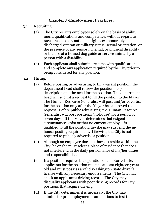# **Chapter 3-Employment Practices.**

- 3.1 Recruiting.
	- (a) The City recruits employees solely on the basis of ability, merit, qualifications and competence, without regard to race, creed, color, national origin, sex, honorably discharged veteran or military status, sexual orientation, or the presence of any sensory, mental, or physical disability or the use of a trained dog guide or service animal by a person with a disability
	- (b) Each applicant shall submit a resume with qualifications and complete any application required by the City prior to being considered for any position.
- 3.2 Hiring.
	- (a) Before posting or advertising to fill a vacant position, the department head shall review the position, its job description and the need for the position. The department head will submit a request to fill the position to the Mayor. The Human Resource Generalist will post and/or advertise for the position only after the Mayor has approved the request. Before public advertising, the Human Resource Generalist will post positions "in-house" for a period of seven days. If the Mayor determines that exigent circumstances exist or that no current employee is qualified to fill the position, he/she may suspend the inhouse-posting requirement. Likewise, the City is not required to publicly advertise a position.
	- (b) Although an employee does not have to reside within the City, he or she must select a place of residence that does not interfere with the daily performance of his/her duties and responsibilities.
	- (c) If a position requires the operation of a motor vehicle, applicants for the position must be at least eighteen years old and must possess a valid Washington State driver's license with any necessary endorsements. The City may check an applicant's driving record. The City may disqualify applicants with poor driving records for City positions that require driving.
	- (d) If the City determines it is necessary, the City may administer pre-employment examinations to test the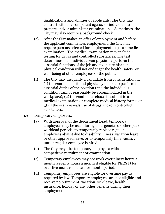qualifications and abilities of applicants. The City may contract with any competent agency or individual to prepare and/or administer examinations. Sometimes, the City may also require a background check.

- (e) After the City makes an offer of employment and before the applicant commences employment, the City may require persons selected for employment to pass a medical examination. The medical examination may include testing for drugs and controlled substances. The test determines if an individual can physically perform the essential functions of the job and to ensure his/her physical condition will not endanger the health, safety, or well-being of other employees or the public.
- (f) The City may disqualify a candidate from consideration if: (1) the candidate is found physically unable to perform the essential duties of the position (and the individual's condition cannot reasonably be accommodated in the workplace); (2) the candidate refuses to submit to a medical examination or complete medical history forms; or (3) if the exam reveals use of drugs and/or controlled substances.
- 3.3 Temporary employees.
	- (a) With approval of the department head, temporary employees may be used during emergencies or other peak workload periods, to temporarily replace regular employees absent due to disability, illness, vacation leave or other approved leave, or to temporarily fill a vacancy until a regular employee is hired.
	- (b) The City may hire temporary employees without competitive recruitment or examination.
	- (c) Temporary employees may not work over ninety hours a month (seventy hours a month if eligible for PERS I) for over five months in a twelve-month period.
	- (d) Temporary employees are eligible for overtime pay as required by law. Temporary employees are not eligible and receive no retirement, vacation, sick leave, health insurance, holiday or any other benefits during their employment.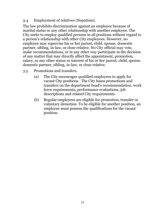### 3.4 Employment of relatives (Nepotism).

The law prohibits discrimination against an employee because of marital status or any other relationship with another employee. The City seeks to employ qualified persons in all positions without regard to a person's relationship with other City employees. However, no employee may supervise his or her parent, child, spouse, domestic partner, sibling, in-law, or close relative. No City official may vote, make recommendations, or in any other way participate in the decision of any matter that may directly affect the appointment, promotion, salary, or any other status or interest of his or her parent, child, spouse, domestic partner, sibling, in-law, or close relative.

- 3.5 Promotions and transfers.
	- (a) The City encourages qualified employees to apply for vacant City positions. The City bases promotions and transfers on the department head's recommendation, work force requirements, performance evaluations, job descriptions and related City requirements.
	- (b) Regular employees are eligible for promotion, transfer or voluntary demotion. To be eligible for another position, an employee must possess the qualifications for the vacant position.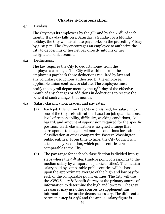#### **Chapter 4-Compensation.**

4.1 Paydays.

The City pays its employees by the  $5<sup>th</sup>$  and by the 20<sup>th</sup> of each month. If payday falls on a Saturday, a Sunday, or a Monday holiday, the City will distribute paychecks on the preceding Friday by 5:00 p.m. The City encourages an employee to authorize the City to deposit his or her net pay directly into his or her designated bank account.

4.2 Deductions.

The law requires the City to deduct money from the employee's earnings. The City will withhold from the employee's paycheck those deductions required by law and any voluntary deductions authorized by the employee, applicable union contract, or statute. The employee must notify the payroll department by the  $15<sup>th</sup>$  day of the effective month of any changes or additions in deductions to receive the benefit of such changes that month.

- 4.3 Salary classification, grades, and pay rates.
	- (a) Each job title within the City is classified, for salary, into one of the City's classifications based on job qualifications, level of responsibility, difficulty, working conditions, skill hazard, and amount of supervision required for the specific position. Each classification is assigned a range that corresponds to the general market conditions for a similar classification at other comparative Eastern Washington public entities. From time to time, the City Council will establish, by resolution, which public entities are comparable to the City.
	- (b) The pay range for each job classification is divided into 17 steps where the 9<sup>th</sup> step (middle point corresponds to the median salary by comparable public entities). The median salary paid by comparable public entities will be based upon the approximate average of the high and low pay for each of the comparable public entities. The City will use the AWC Salary & Benefit Survey as the primary source of information to determine the high and low pay. The City Treasurer may use other sources to supplement this information as he or she deems necessary. The differential between a step is 2.5% and the annual salary figure is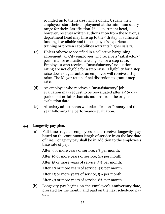rounded up to the nearest whole dollar. Usually, new employees start their employment at the minimum salary range for their classification. If a department head, however, receives written authorization from the Mayor, a department head may hire up to the 9thstep, if sufficient funding is available and the employee's experience, training or proven capabilities warrants higher salary.

- (c) Unless otherwise specified in a collective bargaining agreement, all City employees who receive a "satisfactory" performance evaluation are eligible for a step raise. Employees who receive a "unsatisfactory" evaluation rating are not eligible for a step raise. Eligibility for a step raise does not guarantee an employee will receive a step raise. The Mayor retains final discretion to grant a step raise.
- (d) An employee who receives a "unsatisfactory" job evaluation may request to be reevaluated after a 90- day period but no later than six months from the original evaluation date.
- (e) All salary adjustments will take effect on January 1 of the year following the performance evaluation.
- 4.4 Longevity pay plan.
	- (a) Full-time regular employees shall receive longevity pay based on the continuous length of service from the last date of hire. Longevity pay shall be in addition to the employee's base rate of pay:

After 5 or more years of service, 1% per month.

After 10 or more years of service, 2% per month.

After 15 or more years of service, 3% per month.

After 20 or more years of service, 4% per month.

After 25 or more years of service, 5% per month.

After 30 or more years of service, 6% per month

(b) Longevity pay begins on the employee's anniversary date, prorated for the month, and paid on the next scheduled pay date.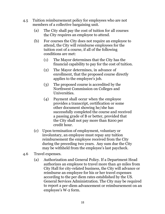- 4.5 Tuition reimbursement policy for employees who are not members of a collective bargaining unit.
	- (a) The City shall pay the cost of tuition for all courses the City requires an employee to attend.
	- (b) For courses the City does not require an employee to attend, the City will reimburse employees for the tuition cost of a course, if all of the following conditions are met:
		- (1) The Mayor determines that the City has the financial capability to pay for the cost of tuition.
		- (2) The Mayor determines, in advance of enrollment, that the proposed course directly applies to the employee's job.
		- (3) The proposed course is accredited by the Northwest Commission on Colleges and Universities.
		- (4) Payment shall occur when the employee provides a transcript, certification or some other document showing he/she has successfully completed the course and received a passing grade of B or better, provided that the City shall not pay more than \$200 per credit hour.
	- (c) Upon termination of employment, voluntary or involuntary, an employee must repay any tuition reimbursement the employee received from the City during the preceding two years. Any sum due the City may be withheld from the employee's last paycheck.
- 4.6 Travel expenses.
	- (a) Authorization and General Policy. If a Department Head authorizes an employee to travel more than 40 miles from City Hall for city-related business, the City will advance or reimburse an employee for his or her travel expenses according to the per diem rates established by the US. General Services Administration. The City may be required to report a per-diem advancement or reimbursement on an employee's W-2 form.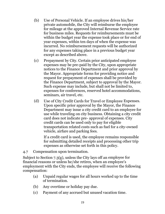- (b) Use of Personal Vehicle. If an employee drives his/her private automobile, the City will reimburse the employee for mileage at the approved Internal Revenue Service rate for business miles. Requests for reimbursements must be within the budget year the expense took place or for end of year expenses, within ten days of when the expense was incurred. No reimbursement requests will be authorized for any expenses taking place in a previous budget year except as described above.
- (c) Prepayment by City. Certain prior anticipated employee expenses may be pre-paid by the City, upon appropriate notices to the Finance Department and prior approval by the Mayor. Appropriate forms for providing notice and request for prepayment of expenses shall be provided by the Finance Department, subject to approval by the Mayor. Such expense may include, but shall not be limited to, expenses for conferences, reserved hotel accommodations, seminars, air travel, etc.
- (d) Use of City Credit Cards for Travel or Employee Expenses. Upon specific prior approval by the Mayor, the Finance Department may issue a city credit card to an employee for use while traveling on city business. Obtaining a city credit card does not indicate pre- approval of expenses. City credit cards can be used only to pay for eligible transportation related costs such as fuel for a city-owned vehicle, airfare and parking fees.

If a credit card is used, the employee remains responsible for submitting detailed receipts and processing other trip expenses as otherwise set forth in this policy.

4.7 Compensation upon termination.

Subject to Section 7.3(g), unless the City lays off an employee for financial reasons or unless he/she retires, when an employee's employment with the City ends, the employee will receive the following compensation:

- (a) Unpaid regular wages for all hours worked up to the time of termination.
- (b) Any overtime or holiday pay due.
- (c) Payment of any accrued but unused vacation time.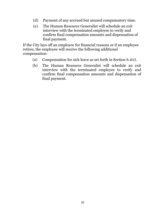- (d) Payment of any accrued but unused compensatory time.
- (e) The Human Resource Generalist will schedule an exit interview with the terminated employee to verify and confirm final compensation amounts and dispensation of final payment.

If the City lays off an employee for financial reasons or if an employee retires, the employee will receive the following additional compensation:

- (a) Compensation for sick leave as set forth in Section 6.1(e).
- (b) The Human Resource Generalist will schedule an exit interview with the terminated employee to verify and confirm final compensation amounts and dispensation of final payment.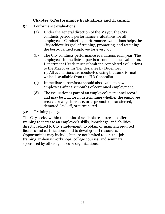# **Chapter 5-Performance Evaluations and Training.**

- 5.1 Performance evaluations.
	- (a) Under the general direction of the Mayor, the City conducts periodic performance evaluations for all employees. Conducting performance evaluations helps the City achieve its goal of training, promoting, and retaining the best-qualified employee for every job,
	- (b) The City conducts performance evaluations each year. The employee's immediate supervisor conducts the evaluation. Department Heads must submit the completed evaluations to the Mayor or his/her designee by December 15. All evaluations are conducted using the same format, which is available from the HR Generalist.
	- (c) Immediate supervisors should also evaluate new employees after six months of continued employment.
	- (d) The evaluation is part of an employee's personnel record and may be a factor in determining whether the employee receives a wage increase, or is promoted, transferred, demoted, laid off, or terminated.

5.2 Training policy.

The City seeks, within the limits of available resources, to offer training to increase an employee's skills, knowledge, and abilities directly related to City employment, to obtain or maintain required licenses and certifications, and to develop staff resources. Opportunities may include, but are not limited to: on-the-job training, in-house workshops, college courses, and seminars sponsored by other agencies or organizations.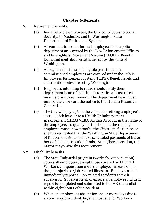## **Chapter 6-Benefits.**

- 6.1 Retirement benefits.
	- (a) For all eligible employees, the City contributes to Social Security, to Medicare, and to Washington State Department of Retirement Systems.
	- (b) All commissioned uniformed employees in the police department are covered by the Law Enforcement Officers and Firefighters Retirement System (LEOFF). Benefit levels and contribution rates are set by the state of Washington.
	- (c) All regular full-time and eligible part-time noncommissioned employees are covered under the Public Employees Retirement System (PERS). Benefit levels and contribution rates are set by Washington.
	- (d) Employees intending to retire should notify their department head of their intent to retire at least three months prior to retirement. The department head must immediately forward the notice to the Human Resource Generalist.
	- (e) The City will pay 25% of the value of a retiring employee's accrued sick leave into a Health Reimbursement Arrangement (HRA) VEBA Savings Account in the name of the employee. To qualify for this benefit, the retiring employee must show proof to the City's satisfaction he or she has requested that the Washington State Department of Retirement Systems make scheduled payments of his or her defined contribution funds. At his/her discretion, the Mayor may waive this requirement.
- 6.2 Disability benefits.
	- (a) The State Industrial program (worker's compensation) covers all employees, except those covered by LEOFF I. Worker's compensation covers employees in case of onthe-job injuries or job-related illnesses. Employees shall immediately report all job-related accidents to their supervisor. Supervisors shall ensure an employee incident report is completed and submitted to the HR Generalist within eight hours of the accident.
	- (b) When an employee is absent for one or more days due to an on-the-job accident, he/she must sue for Worker's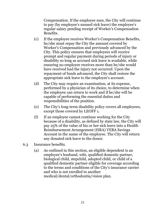Compensation. If the employee sues, the City will continue to pay (by employee's unused sick leave) the employee's regular salary pending receipt of Worker's Compensation Benefits.

- (c) If the employee receives Worker's Compensation Benefits, he/she must repay the City the amount covered by Worker's Compensation and previously advanced by the City. This policy ensures that employees will receive prompt and regular payment during periods of injury or disability so long as accrued sick leave is available, while ensuring no employee receives more than he/she would have received had the injury not occurred. Upon the repayment of funds advanced, the City shall restore the appropriate sick leave to the employee's account.
- (d) The City may require an examination, at its expense, performed by a physician of its choice, to determine when the employee can return to work and if he/she will be capable of performing the essential duties and responsibilities of the position.
- (e) The City's long-term disability policy covers all employees, except those covered by LEOFF 1.
- (f) If an employee cannot continue working for the City because of a disability, as defined by state law, the City will pay 25% of the value of his or her sick leave into a Health Reimbursement Arrangement (HRA) VEBA Savings Account in the name of the employee. The City will return any donated sick leave to the donor.
- 6.3 Insurance benefits.
	- (a) As outlined in this section, an eligible dependent is an employee's husband, wife, qualified domestic partner, biological child, stepchild, adopted child, or child of a qualified domestic partner eligible for coverage according to the terms and conditions of the City's insurance carrier and who is not enrolled in another medical/dental/orthodontia/vision plan.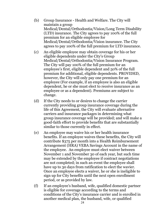- (b) Group Insurance Health and Welfare. The City will maintain a group Medical/Dental/Orthodontia/Vision/Long Term Disability (LTD) insurance. The City agrees to pay 100% of the full premium for an eligible employee for Medical/Dental/Orthodontia/Vision insurance. The City agrees to pay 100% of the full premium for LTD insurance.
- (c) An eligible employee may obtain coverage for his or her eligible dependents under the City's Group Medical/Dental/Orthodontia/Vision Insurance Program. The City will pay 100% of the full premium for an employee's first, eligible dependent and 50% of the full premium for additional, eligible dependents. PROVIDED, however, the City will only pay one premium for an employee (For example, if an employee is also an eligible dependent, he or she must elect to receive insurance as an employee or as a dependent). Premiums are subject to change.
- (d) If the City needs to or desires to change the carrier currently providing group insurance coverage during the life of this Agreement, the City will evaluate alternative carriers and insurance packages in determining what group insurance coverage will be provided; and will make a good-faith effort to provide benefits that are substantially similar to those currently in effect.
- (e) An employee may waive his or her health insurance benefits. If an employee waives these benefits, the City will contribute \$375 per month into a Health Reimbursement Arrangement (HRA) VEBA Savings Account in the name of the employee. An employee must elect waiver between November 1 and November 30 of each year, but such time may be extended by the employee if contract negotiations are not completed; in such an event the employee shall have up to 30 days from ratification to elect the wavier. Once an employee elects a waiver, he or she is ineligible to sign up for City benefits until the next open enrollment period, or as provided by law.
- (f) If an employee's husband, wife, qualified domestic partner is eligible for coverage according to the terms and conditions of the City's insurance carrier and is enrolled in another medical plan, the husband, wife, or qualified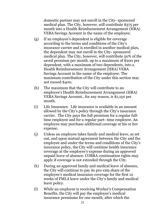domestic partner may not enroll in the City- sponsored medical plan. The City, however, will contribute \$375 per month into a Health Reimbursement Arrangement (HRA) VEBA Savings Account in the name of the employee.

- (g) If an employee's dependent is eligible for coverage according to the terms and conditions of the City's insurance carrier and is enrolled in another medical plan, the dependent may not enroll in the City- sponsored medical plan. The City, however, will contribute 50% of the saved premium per month, up to a maximum of \$200 per dependent, with a maximum of two dependents, into a Health Reimbursement Arrangement (HRA) VEBA Savings Account in the name of the employee. The maximum contribution of the City under this section may not exceed \$400.
- (h) The maximum that the City will contribute to an employee's Health Reimbursement Arrangement (HRA) VEBA Savings Account., for any reason, is \$1,150 per month.
- (i) Life Insurance. Life insurance is available in an amount allowed by the City's policy through the City's insurance carrier. The City pays the full premium for a regular fulltime employee and for a regular part- time employee. An employee may purchase additional coverage at his or her expense.
- (j) Unless an employee takes family and medical leave, as set out, and upon mutual agreement between the City and the employee and under the terms and conditions of the City's insurance policy, the City will continue health insurance coverage at the employee's expense during an approved unpaid leave of absence. COBRA continuation rights may apply if coverage is not extended through the City.
- (k) During an approved family and medical leave of absence, the City will continue to pay its pro-rata share of the employee's medical insurance coverage for the first 12 weeks of FMLA leave under the City's family and medical leave policy.
- (l) While an employee is receiving Worker's Compensation Benefits, the City will pay the employee's medical insurance premiums for one month, after which the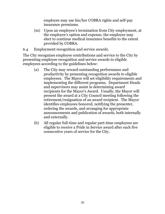employee may use his/her COBRA rights and self-pay insurance premiums.

- (m) Upon an employee's termination from City employment, at the employee's option and expense, the employee may elect to continue medical insurance benefits to the extent provided by COBRA.
- 6.4 Employment recognition and service awards.

The City recognizes employee contributions and service to the City by presenting employee recognition and service awards to eligible employees according to the guidelines below:

- (a) The City may reward outstanding performance and productivity by presenting recognition awards to eligible employees. The Mayor will set eligibility requirements and implementing the different programs. Department Heads and supervisors may assist in determining award recipients for the Mayor's Award. Usually, the Mayor will present the award at a City Council meeting following the retirement/resignation of an award recipient. The Mayor identifies employees honored, notifying the presenter, ordering the awards, and arranging for appropriate announcements and publication of awards, both internally and externally.
- (b) All regular full-time and regular part-time employees are eligible to receive a Pride in Service award after each five consecutive years of service for the City.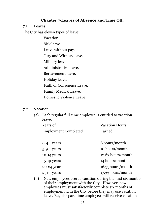#### **Chapter 7-Leaves of Absence and Time Off.**

7.1 Leaves.

The City has eleven types of leave:

- Vacation Sick leave Leave without pay. Jury and Witness leave. Military leave. Administrative leave. Bereavement leave. Holiday leave. Faith or Conscience Leave. Family Medical Leave. Domestic Violence Leave
- 7.2 Vacation.
	- (a) Each regular full-time employee is entitled to vacation leave:

| Years of                    | <b>Vacation Hours</b> |
|-----------------------------|-----------------------|
| <b>Employment Completed</b> | Earned                |

| years<br>$O - 4$ | 8 hours/month     |
|------------------|-------------------|
| $5-9$<br>years   | 10 hours/month    |
| $10-14$ years    | 12.67 hours/month |
| $15-19$ years    | 14 hours/month    |
| 20-24 years      | 16.33 hours/month |
| years<br>$25+$   | 17.33 hours/month |

(b) New employees accrue vacation during the first six months of their employment with the City. However, new employees must satisfactorily complete six months of employment with the City before they may use vacation leave. Regular part-time employees will receive vacation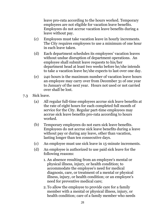leave pro-rata according to the hours worked. Temporary employees are not eligible for vacation leave benefits. Employees do not accrue vacation leave benefits during a leave without pay.

- (c) Employees must take vacation leave in hourly increments. The City requires employees to use a minimum of one hour in each leave taken.
- (d) Each department schedules its employees' vacation leaves without undue disruption of department operations. An employee shall submit leave requests to his/her department head at least two weeks before he/she intends to take a vacation leave he/she expects to last over one day.
- (e) 240 hours is the maximum number of vacation leave hours an employee may carry over from December 31 of one year to January of the next year. Hours not used or not carried over shall be lost.
- 7.3 Sick leave.
	- (a) All regular full-time employees accrue sick leave benefits at the rate of eight hours for each completed full month of service for the City. Regular part-time employees may accrue sick leave benefits pro-rata according to hours worked.
	- (b) Temporary employees do not earn sick leave benefits. Employees do not accrue sick leave benefits during a leave without pay or during any leave, other than vacation, lasting longer than ten consecutive days.
	- (c) An employee must use sick leave in 15-minute increments.
	- (d) An employee is authorized to use paid sick leave for the following reasons:
		- 1. An absence resulting from an employee's mental or physical illness, injury, or health condition; to accommodate the employee's need for medical diagnosis, care, or treatment of a mental or physical illness, injury, or health condition; or an employee's need for preventive medical care;
		- 2.To allow the employee to provide care for a family member with a mental or physical illness, injury, or health condition; care of a family member who needs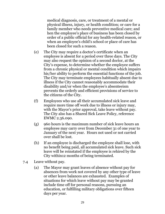medical diagnosis, care, or treatment of a mental or physical illness, injury, or health condition; or care for a family member who needs preventive medical care; and hen the employee's place of business has been closed by order of a public official for any health-related reason, or when an employee's child's school or place of care has been closed for such a reason.

- (e) The City may require a doctor's certificate when an employee is absent for a period over three days. The City may also request the opinion of a second doctor, at the City's expense, to determine whether the employee suffers from a chronic physical or mental condition which impairs his/her ability to perform the essential functions of the job. The City may terminate employees habitually absent due to illness if the City cannot reasonably accommodate their disability and/or when the employee's absenteeism prevents the orderly and efficient provisions of service to the citizens of the City.
- (f) Employees who use all their accumulated sick leave and require more time off work due to illness or injury may, with the Mayor's prior approval, take leave without pay. The City also has a Shared Sick Leave Policy, reference EWMC 2.36.090.
- (g) 960 hours is the maximum number of sick leave hours an employee may carry over from December 31 of one year to January of the next year. Hours not used or not carried over shall be lost.
- (h) If an employee is discharged the employee shall lose, with no benefit being paid, all accumulated sick leave. Such sick leave will be reinstated if the employee is rehired by the City within12 months of being terminated.
- 7.4 Leave without pay.
	- (a) The Mayor may grant leaves of absence without pay for absences from work not covered by any other type of leave or other leave balances are exhausted. Examples of situations for which leave without pay may be granted include time off for personal reasons, pursuing an education, or fulfilling military obligations over fifteen days per year.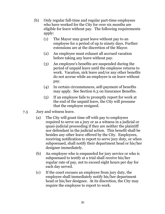- (b) Only regular full-time and regular part-time employees who have worked for the City for over six months are eligible for leave without pay. The following requirements apply:
	- (1) The Mayor may grant leave without pay to an employee for a period of up to ninety days. Further extensions are at the discretion of the Mayor.
	- (2) An employee must exhaust all accrued vacation before taking any leave without pay.
	- (3) An employee's benefits are suspended during the period of unpaid leave until the employee returns to work. Vacation, sick leave and/or any other benefits do not accrue while an employee is on leave without pay.
	- (4) In certain circumstances, self-payment of benefits may apply. See Section 6.3 on Insurance Benefits.
	- (5) If an employee fails to promptly report for work at the end of the unpaid leave, the City will presume that the employee resigned.
- 7.5 Jury and witness leave.
	- (a) The City will grant time off with pay to employees required to serve on a jury or as a witness in a judicial or quasi-judicial proceeding if they are neither the plaintiff nor defendant in the judicial action. This benefit shall be besides any other leave offered by the City. Employees, receiving notification to report to serve jury duty, or when subpoenaed, shall notify their department head or his/her designee immediately.
	- (b) An employee who is empaneled for jury service or who is subpoenaed to testify at a trial shall receive his/her regular rate of pay, not to exceed eight hours per day for each day served.
	- (c) If the court excuses an employee from jury duty, the employee shall immediately notify his/her department head or his/her designee. At its discretion, the City may require the employee to report to work.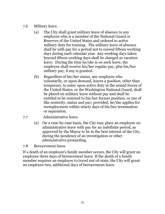- 7.6 Military leave.
	- (a) The City shall grant military leave of absence to any employee who is a member of the National Guard or Reserves of the United States and ordered to active military duty for training. The military leave of absence shall be with pay for a period not to exceed fifteen working days during each calendar year. Any working days taken beyond fifteen working days shall be charged as vacation leave. During the time he/she is on such leave, the employee shall receive his/her regular pay, plus his/her military pay, if any is granted.
	- (b) Regardless of his/her status, any employee who voluntarily, or upon demand, leaves a position, other than temporary, to enter upon active duty in the armed forces of the United States, or the Washington National Guard, shall be placed on military leave without pay and shall be entitled to be restored to his/her former position, or one of like seniority, status and pay; provided, he/she applies for reemployment within ninety days of his/her termination or separation.
- 7.7 Administrative leave.
	- (a) On a case-by-case basis, the City may place an employee on administrative leave with pay for an indefinite period, as approved by the Mayor to be in the best interest of the City, during the pendency of an investigation or other administrative proceeding.

7.8 Bereavement leave.

If a death of an employee's family member occurs, the City will grant an employee three days of bereavement leave. If the death of a family member requires an employee to travel out-of-state, the City will grant an employee two, additional days of bereavement leave.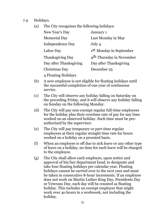- 7.9 Holidays.
	- (a) The City recognizes the following holidays:

| New Year's Day          | January 1                            |
|-------------------------|--------------------------------------|
| <b>Memorial Day</b>     | Last Monday in May                   |
| <b>Independence Day</b> | July 4                               |
| Labor Day               | 1 <sup>st</sup> Monday in September  |
| <b>Thanksgiving Day</b> | 4 <sup>th</sup> Thursday in November |
| Day after Thanksgiving  | Day after Thanksgiving               |
| Christmas Day           | December 25                          |
| 4 Floating Holidays     |                                      |

- (b) A new employee is not eligible for floating holidays until the successful completion of one year of continuous service.
- (c) The City will observe any holiday falling on Saturday on the preceding Friday, and it will observe any holiday falling on Sunday on the following Monday.
- (d) The City will pay non-exempt regular full-time employees for the holiday plus their overtime rate of pay for any time worked on an observed holiday. Such time must be preauthorized by the supervisor.
- (e) The City will pay temporary or part-time regular employees at their regular straight time rate for hours worked on a holiday on a prorated basis.
- (f) When an employee is off due to sick leave or any other type of leave on a holiday, no time for such leave will be charged to the employee.
- (g) The City shall allow each employee, upon notice and approval of his/her department head, to designate and take four floating holidays per calendar year. Floating holidays cannot be carried over to the next year and must be taken in consecutive 8-hour increments. If an employee does not work on Martin Luther King Day, Presidents Day or Veterans Day, each day will be counted as floating holiday. This includes an exempt employee that might work over 4o hours in a workweek, not including the holiday.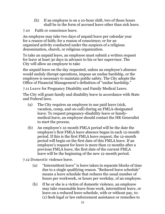- (h) If an employee is on a 10-hour shift, two of those hours shall be in the form of accrued leave other than sick leave.
- 7.10 Faith or conscience leave.

An employee may take two days of unpaid leave per calendar year for a reason of faith; for a reason of conscience; or for an organized activity conducted under the auspices of a religious denomination, church, or religious organization.

To take an unpaid leave, an employee must submit a written request for leave at least 30 days in advance to his or her supervisor. The City will allow an employee to take

the unpaid leave on the day requested, unless an employee's absence would unduly disrupt operations, impose an undue hardship, or the employee is necessary to maintain public safety. The City adopts the Office of Financial Management's definition of "undue hardship."

7.11 Leave for Pregnancy Disability and Family Medical Leave.

The City will grant family and disability leave in accordance with State and Federal laws.

- (a) The City requires an employee to use paid leave (sick, vacation, comp, and on-call) during an FMLA-designated leave. To request pregnancy-disability leave or familymedical leave, an employee should contact the HR Generalist to start the process.
- (b) An employee's 12-month FMLA period will be the date the employee's first FMLA leave absence began in each 12-month period. If this is the first FMLA leave request, the 12-month period will begin on the first date of this FMLA leave. If an employee's request for leave is more than 12 months after a previous FMLA leave, the first date of the current FMLA leave will be the beginning of the new 12-month period.
- 7.12 Domestic violence leave.
	- (a) "Intermittent leave" is leave taken in separate blocks of time due to a single qualifying reason. "Reduced leave schedule" means a leave schedule that reduces the usual number of hours per workweek, or hours per workday, of an employee.
	- (b) If he or she is a victim of domestic violence, an employee may take reasonable leave from work, intermittent leave, or leave on a reduced leave schedule, with or without pay, to: (1) Seek legal or law enforcement assistance or remedies to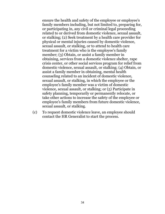ensure the health and safety of the employee or employee's family members including, but not limited to, preparing for, or participating in, any civil or criminal legal proceeding related to or derived from domestic violence, sexual assault, or stalking; (2) Seek treatment by a health care provider for physical or mental injuries caused by domestic violence, sexual assault, or stalking, or to attend to health care treatment for a victim who is the employee's family member; (3) Obtain, or assist a family member in obtaining, services from a domestic violence shelter, rape crisis center, or other social services program for relief from domestic violence, sexual assault, or stalking; (4) Obtain, or assist a family member in obtaining, mental health counseling related to an incident of domestic violence, sexual assault, or stalking, in which the employee or the employee's family member was a victim of domestic violence, sexual assault, or stalking; or (5) Participate in safety planning, temporarily or permanently relocate, or take other actions to increase the safety of the employee or employee's family members from future domestic violence, sexual assault, or stalking.

(c) To request domestic violence leave, an employee should contact the HR Generalist to start the process.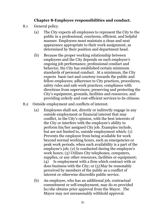#### **Chapter 8-Employee responsibilities and conduct.**

- 8.1 General policy.
	- (a) The City expects all employees to represent the City to the public in a professional, courteous, efficient, and helpful manner. Employees must maintain a clean and neat appearance appropriate to their work assignment, as determined by their position and department head.
	- (b) Because the proper working relationship between employees and the City depends on such employee's ongoing job performance, professional conduct and behavior, the City has established certain minimum standards of personal conduct. At a minimum, the City expects basic tact and courtesy towards the public and fellow employees; adherence to City practices, procedures, safety rules and safe work practices; compliance with directions from supervisors; preserving and protecting the City's equipment, grounds, facilities and resources; and providing orderly and cost-efficient services to its citizens.
- 8.2 Outside employment and conflicts of interest.
	- (a) Employees shall not, directly or indirectly engage in any outside employment or financial interest that may conflict, in the City's opinion, with the best interests of the City or interfere with the employee's ability to perform his/her assigned City job. Examples include, but are not limited to, outside employment which: (1) Prevents the employee from being available for work beyond normal working hours, such as emergencies or peak work periods, when such availability is a part of the employee's job; (2) Is conducted during the employee's work hours; (3) Utilizes City telephones, computers, supplies, or any other resources, facilities or equipment; (4) Is employment with a firm which contract with or does business with the City; or  $(5)$  May be reasonably perceived by members of the public as a conflict of interest or otherwise discredits public service.
	- (b) An employee, who has an additional job, contractual commitment or self-employment, may do so provided he/she obtains prior approval from the Mayor. The Mayor may not unreasonably withhold approval.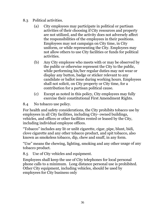- 8.3 Political activities.
	- (a) City employees may participate in political or partisan activities of their choosing if City resources and property are not utilized, and the activity does not adversely affect the responsibilities of the employees in their positions. Employees may not campaign on City time, in City uniform, or while representing the City. Employees may not allow others to use City facilities or funds for political activities.
	- (b) Any City employee who meets with or may be observed by the public or otherwise represent the City to the public, while performing his/her regular duties may not wear or display any button, badge or sticker relevant to any candidate or ballot issue during working hours. Employees shall not solicit, on City property or City time, for a contribution for a partisan political cause.
	- (c) Except as noted in this policy, City employees may fully exercise their constitutional First Amendment Rights.
- 8.4 No tobacco use policy.

For health and safety considerations, the City prohibits tobacco use by employees in all City facilities, including City- owned buildings, vehicles, and offices or other facilities rented or leased by the City, including individual employee offices.

"Tobacco" includes any lit or unlit cigarette, cigar, pipe, blunt, bidi, clove cigarette and any other tobacco product, and spit tobacco, also known as smokeless tobacco, dip, chew and snuff, in any form.

"Use" means the chewing, lighting, smoking and any other usage of any tobacco product.

8.5 Use of City vehicles and equipment.

Employees shall keep the use of City telephones for local personal phone calls to a minimum. Long distance personal use is prohibited. Other City equipment, including vehicles, should be used by employees for City business only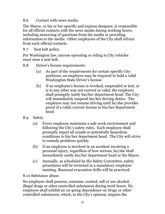8.6 Contact with news media.

The Mayor, or his or her specific and express designee, is responsible for all official contacts with the news media during working hours, including answering of questions from the media or providing information to the media. Other employees of the City shall refrain from such official contacts.

8.7 Seat belt policy.

Per Washington law, anyone operating or riding in City vehicles must wear a seat belt.

- 8.8 Driver's license requirements.
	- (a) As part of the requirements for certain specific City positions, an employee may be required to hold a valid Washington State Driver's license.
	- (b) If an employee's license is revoked, suspended or lost, or is in any other way not current or valid, the employee shall promptly notify his/her department head. The City will immediately suspend his/her driving duties. The employee may not resume driving until he/she provides proof of a valid, current license to his/her department head.
- 8.9 Safety.
	- (a) Every employee maintains a safe work environment and following the City's safety rules. Each employee shall promptly report all unsafe or potentially hazardous conditions to his/her department head. The City will strive to remedy problems quickly.
	- (b) If an employee is involved in an accident involving a personal injury, regardless of how serious, he/she shall immediately notify his/her department head or the Mayor.
	- (c) Annually, as scheduled by the Safety Committee, safety procedures will be reviewed in a mandatory employee meeting. Biannual evacuation drills will be practiced.

8.10 Substance abuse.

No employee shall possess, consume, control, sell or use alcohol, illegal drugs or other controlled substances during work hours. No employee shall exhibit an on-going dependence on drugs or other controlled substances, which, in the City's opinion, impairs the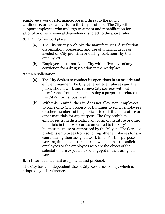employee's work performance, poses a threat to the public confidence, or is a safety risk to the City or others. The City will support employees who undergo treatment and rehabilitation for alcohol or other chemical dependency, subject to the above rules.

8.11 Drug-free workplace.

- (a) The City strictly prohibits the manufacturing, distribution, dispensation, possession and use of unlawful drugs or alcohol on City premises or during work hours by City employees.
- (b) Employees must notify the City within five days of any conviction for a drug violation in the workplace.

8.12 No solicitation.

- (a) The City desires to conduct its operations in an orderly and efficient manner. The City believes its employees and the public should work and receive City services without interference from persons pursuing a purpose unrelated to the City's normal business.
- (b) With this in mind, the City does not allow non- employees to come onto City property or buildings to solicit employees or other members of the public or to distribute literature or other materials for any purpose. The City prohibits employees from distributing any form of literature or other materials in their work areas unrelated to the City's business purpose or authorized by the Mayor. The City also prohibits employees from soliciting other employees for any cause during their assigned work time. For this purpose, working time means time during which either the soliciting employees or the employees who are the object of the solicitation are expected to be engaged in their assigned work.

8.13 Internet and email use policies and protocol.

The City has an independent Use of City Resources Policy, which is adopted by this reference.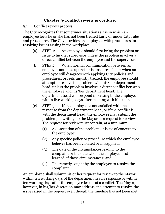# **Chapter 9-Conflict review procedure.**

9.1 Conflict review process.

The City recognizes that sometimes situations arise in which an employee feels he or she has not been treated fairly or under City rules and procedures. The City provides its employees with procedures for resolving issues arising in the workplace.

- (a) STEP 1: An employee should first bring the problem or issue to his/her supervisor unless the problem involves a direct conflict between the employee and the supervisor.
- (b) STEP 2: When normal communication between an employee and the supervisor is unsuccessful, or when an employee still disagrees with applying City policies and procedures, or feels unjustly treated, the employee should attempt to resolve the problem with his/her department head, unless the problem involves a direct conflict between the employee and his/her department head. The department head will respond in writing to the employee within five working days after meeting with him/her.
- (c) STEP 3: If the employee is not satisfied with the response from the department head, or if the conflict is with the department head, the employee may submit the problem, in writing, to the Mayor as a request for review. The request for review must contain, at a minimum:
	- (1) A description of the problem or issue of concern to the employee;
	- (2) Any specific policy or procedure which the employee believes has been violated or misapplied;
	- (3) The date of the circumstances leading to the complaint or the date when the employee first learned of those circumstances; and
	- (4) The remedy sought by the employee to resolve the complaint.

An employee shall submit his or her request for review to the Mayor within ten working days of the department head's response or within ten working days after the employee learns of a conflict. The Mayor, however, in his/her discretion may address and attempt to resolve the issue raised in the request even though the timeline has not been met.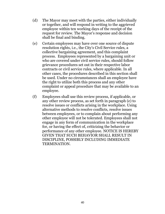- (d) The Mayor may meet with the parties, either individually or together, and will respond in writing to the aggrieved employee within ten working days of the receipt of the request for review. The Mayor's response and decision shall be final and binding.
- (e) Certain employees may have over one source of dispute resolution rights, i.e., the City's Civil Service rules, a collective bargaining agreement, and this complaint process. Employees represented by a bargaining unit or who are covered under civil service rules, should follow grievance procedures set out in their respective labor contracts or civil service rules, where applicable. In all other cases, the procedures described in this section shall be used. Under no circumstances shall an employee have the right to utilize both this process and any other complaint or appeal procedure that may be available to an employee.
- (f) Employees shall use this review process, if applicable, or any other review process, as set forth in paragraph (e) to resolve issues or conflicts arising in the workplace. Using alternative methods to resolve conflicts, resolve issues between employees, or to complain about performing any other employee will not be tolerated. Employees shall not engage in any form of communication in the workplace for, or having the effect of, criticizing the behavior or performance of any other employee. NOTICE IS HEREBY GIVEN THAT SUCH BEHAVIOR SHALL RESULT IN DISCIPLINE, POSSIBLY INCLUDING IMMEDIATE TERMINATION.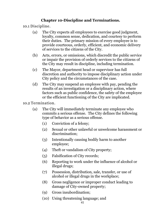## **Chapter 10-Discipline and Terminations.**

10.1 Discipline.

- (a) The City expects all employees to exercise good judgment, loyalty, common sense, dedication, and courtesy to perform their duties. The primary mission of every employee is to provide courteous, orderly, efficient, and economic delivery of services to the citizens of the City.
- (b) Acts, errors, or omissions, which discredit the public service or impair the provision of orderly services to the citizens of the City may result in discipline, including termination.
- (c) The Mayor, department head or supervisor has full discretion and authority to impose disciplinary action under City policy and the circumstances of the case.
- (d) The City may suspend an employee with pay, pending the results of an investigation or a disciplinary action, where factors such as public confidence, the safety of the employee or the efficient functioning of the City are implicated.

# 10.2 Termination.

- (a) The City will immediately terminate any employee who commits a serious offense. The City defines the following type of behavior as a serious offense.
	- (1) Conviction of a felony;
	- (2) Sexual or other unlawful or unwelcome harassment or discrimination;
	- (3) Intentionally causing bodily harm to another employee;
	- (4) Theft or vandalism of City property;
	- (5) Falsification of City records;
	- (6) Reporting to work under the influence of alcohol or illegal drugs;
	- (7) Possession, distribution, sale, transfer, or use of alcohol or illegal drugs in the workplace;
	- (8) Gross negligence or improper conduct leading to damage of City-owned property;
	- (9) Gross insubordination;
	- (10) Using threatening language; and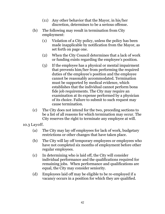- (11) Any other behavior that the Mayor, in his/her discretion, determines to be a serious offense.
- (b) The following may result in termination from City employment:
	- (1) Violation of a City policy, unless the policy has been made inapplicable by notification from the Mayor, as set forth on page one.
	- (2) When the City Council determines that a lack of work or funding exists regarding the employee's position.
	- (3) If the employee has a physical or mental impairment that prevents him/her from performing the required duties of the employee's position and the employee cannot be reasonably accommodated. Termination must be supported by medical evidence, which establishes that the individual cannot perform bona fide job requirements. The City may require an examination at its expense performed by a physician of its choice. Failure to submit to such request may cause termination.
- (c) The City does not intend for the two, preceding sections to be a list of all reasons for which termination may occur. The City reserves the right to terminate any employee at will.

10.3 Layoff.

- (a) The City may lay off employees for lack of work, budgetary restrictions or other changes that have taken place.
- (b) The City will lay off temporary employees or employees who have not completed six months of employment before other regular employees.
- (c) In determining who is laid off, the City will consider individual performance and the qualifications required for remaining jobs. When performance and qualifications are equal, the City may consider seniority.
- (d) Employees laid off may be eligible to be re-employed if a vacancy occurs in a position for which they are qualified.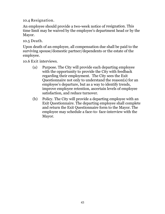10.4 Resignation.

An employee should provide a two-week notice of resignation. This time limit may be waived by the employee's department head or by the Mayor.

10.5 Death.

Upon death of an employee, all compensation due shall be paid to the surviving spouse/domestic partner/dependents or the estate of the employee.

10.6 Exit interviews.

- (a) Purpose. The City will provide each departing employee with the opportunity to provide the City with feedback regarding their employment. The City sees the Exit Questionnaire not only to understand the reason(s) for an employee's departure, but as a way to identify trends, improve employee retention, ascertain levels of employee satisfaction, and reduce turnover.
- (b) Policy. The City will provide a departing employee with an Exit Questionnaire. The departing employee shall complete and return the Exit Questionnaire form to the Mayor. The employee may schedule a face-to- face-interview with the Mayor.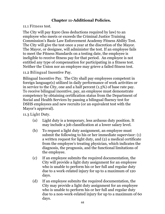# **Chapter 11-Additional Policies.**

11.1 Fitness test.

The City will pay \$300 (less deductions required by law) to an employee who meets or exceeds the Criminal Justice Training Commission's Basic Law Enforcement Academy Fitness Ability Test. The City will give the test once a year at the discretion of the Mayor. The Mayor, or designee, will administer the test. If an employee fails to meet the Fitness Standards on a testing date, the employee is ineligible to receive fitness pay for that period. An employee is not entitled any type of compensation for participating in a fitness test. Neither the Union nor an employee may grieve a failed fitness test.

11.2 Bilingual Incentive Pay.

Bilingual Incentive Pay. The City shall pay employees competent in foreign language(s) utilized in daily performance of work activities or in service to the City, one and a half percent (1.5%) of base rate pay. To receive bilingual incentive, pay, an employee must demonstrate competency by obtaining certification status from the Department of Social and Health Services by passing a bilingual fluency test for DSHS employees and new recruits (or an equivalent test with the Mayor's approval).

11.3 Light Duty.

- (a) Light duty is a temporary, less arduous duty position. It may include a job classification at a lower salary level.
- (b) To request a light duty assignment, an employee must submit the following to his or her immediate supervisor: (1) a written request for light duty, and (2) a medical certificate from the employee's treating physician, which indicates the diagnosis, the prognosis, and the functional limitations of the employee.
- (c) If an employee submits the required documentation, the City will provide a light duty assignment for an employee who is unable to perform his or her full and regular duty due to a work-related injury for up to a maximum of 120 days.
- (d) If an employee submits the required documentation, the City may provide a light duty assignment for an employee who is unable to perform his or her full and regular duty due to a non-work-related injury for up to a maximum of 60 days.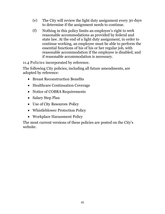- (e) The City will review the light duty assignment every 30 days to determine if the assignment needs to continue.
- (f) Nothing in this policy limits an employee's right to seek reasonable accommodations as provided by federal and state law. At the end of a light duty assignment, in order to continue working, an employee must be able to perform the essential functions of his of his or her regular job, with reasonable accommodation if the employee is disabled, and if reasonable accommodation is necessary.

11.4 Policies incorporated by reference.

The following City policies, including all future amendments, are adopted by reference:

- Breast Reconstruction Benefits
- Healthcare Continuation Coverage
- Notice of COBRA Requirements
- Salary Step Plan
- Use of City Resources Policy
- Whistleblower Protection Policy
- Workplace Harassment Policy

The most current versions of these policies are posted on the City's website.